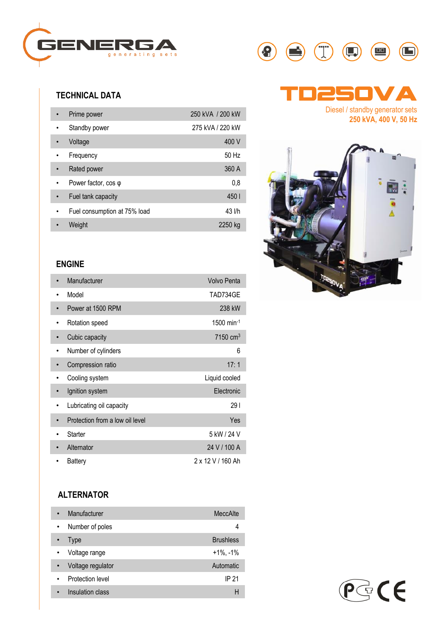

# **TECHNICAL DATA**

| Prime power                  | 250 kVA / 200 kW |
|------------------------------|------------------|
| Standby power                | 275 kVA / 220 kW |
| Voltage                      | 400 V            |
| Frequency                    | 50 Hz            |
| Rated power                  | 360 A            |
| Power factor, $cos \varphi$  | 0,8              |
| Fuel tank capacity           | 450              |
| Fuel consumption at 75% load | 43 l/h           |
| Weight                       | 2250 kg          |

# **ENGINE**

| Manufacturer                    | <b>Volvo Penta</b>   |
|---------------------------------|----------------------|
| Model                           | TAD734GE             |
| Power at 1500 RPM               | 238 kW               |
| Rotation speed                  | $1500$ min-1         |
| Cubic capacity                  | 7150 cm <sup>3</sup> |
| Number of cylinders             | 6                    |
| Compression ratio               | 17:1                 |
| Cooling system                  | Liquid cooled        |
| Ignition system                 | Electronic           |
| Lubricating oil capacity        | 29 I                 |
| Protection from a low oil level | Yes                  |
| Starter                         | 5 kW / 24 V          |
| Alternator                      | 24 V / 100 A         |
| Battery                         | 2 x 12 V / 160 Ah    |

# **ALTERNATOR**

| Manufacturer                   | MeccAlte         |
|--------------------------------|------------------|
| Number of poles<br>$\bullet$   | 4                |
| Type                           | <b>Brushless</b> |
| Voltage range                  | $+1\%$ , $-1\%$  |
| Voltage regulator<br>$\bullet$ | Automatic        |
| Protection level               | IP 21            |
| Insulation class               | н                |





**250 kVA, 400 V, 50 Hz**